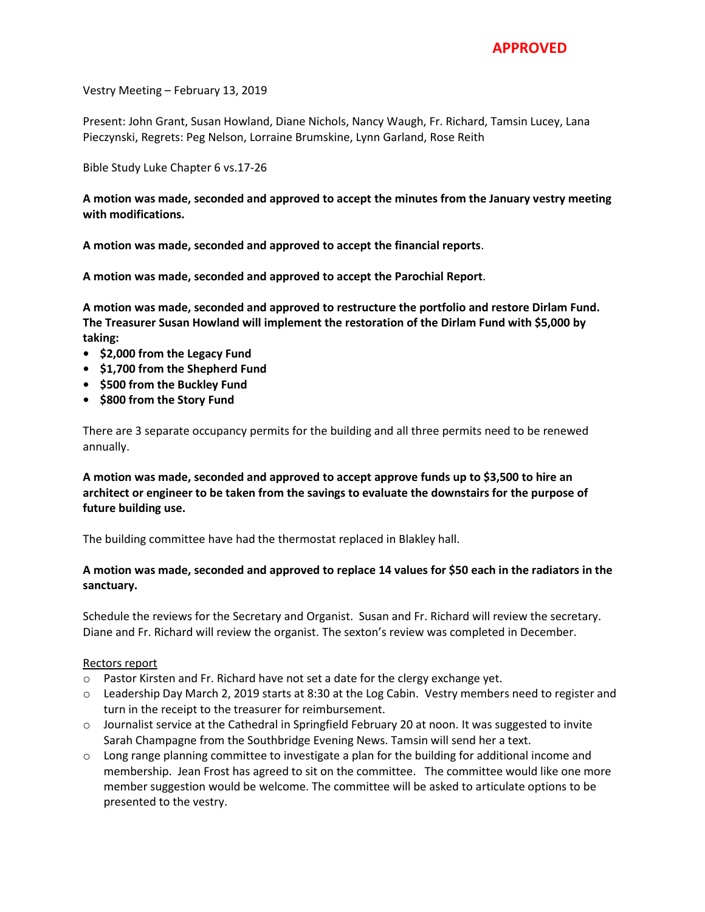Vestry Meeting – February 13, 2019

Present: John Grant, Susan Howland, Diane Nichols, Nancy Waugh, Fr. Richard, Tamsin Lucey, Lana Pieczynski, Regrets: Peg Nelson, Lorraine Brumskine, Lynn Garland, Rose Reith

Bible Study Luke Chapter 6 vs.17-26

**A motion was made, seconded and approved to accept the minutes from the January vestry meeting with modifications.**

**A motion was made, seconded and approved to accept the financial reports**.

**A motion was made, seconded and approved to accept the Parochial Report**.

**A motion was made, seconded and approved to restructure the portfolio and restore Dirlam Fund. The Treasurer Susan Howland will implement the restoration of the Dirlam Fund with \$5,000 by taking:**

- **• \$2,000 from the Legacy Fund**
- **• \$1,700 from the Shepherd Fund**
- **• \$500 from the Buckley Fund**
- **• \$800 from the Story Fund**

There are 3 separate occupancy permits for the building and all three permits need to be renewed annually.

**A motion was made, seconded and approved to accept approve funds up to \$3,500 to hire an architect or engineer to be taken from the savings to evaluate the downstairs for the purpose of future building use.** 

The building committee have had the thermostat replaced in Blakley hall.

## **A motion was made, seconded and approved to replace 14 values for \$50 each in the radiators in the sanctuary.**

Schedule the reviews for the Secretary and Organist. Susan and Fr. Richard will review the secretary. Diane and Fr. Richard will review the organist. The sexton's review was completed in December.

## Rectors report

- o Pastor Kirsten and Fr. Richard have not set a date for the clergy exchange yet.
- o Leadership Day March 2, 2019 starts at 8:30 at the Log Cabin. Vestry members need to register and turn in the receipt to the treasurer for reimbursement.
- o Journalist service at the Cathedral in Springfield February 20 at noon. It was suggested to invite Sarah Champagne from the Southbridge Evening News. Tamsin will send her a text.
- $\circ$  Long range planning committee to investigate a plan for the building for additional income and membership. Jean Frost has agreed to sit on the committee. The committee would like one more member suggestion would be welcome. The committee will be asked to articulate options to be presented to the vestry.